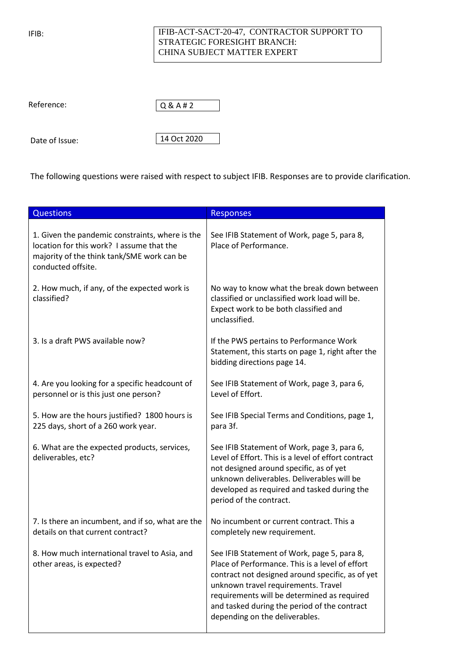IFIB:

## IFIB-ACT-SACT-20-47, CONTRACTOR SUPPORT TO STRATEGIC FORESIGHT BRANCH: CHINA SUBJECT MATTER EXPERT

Reference:



Date of Issue:

14 Oct 2020

The following questions were raised with respect to subject IFIB. Responses are to provide clarification.

| <b>Questions</b>                                                                                                                                                 | <b>Responses</b>                                                                                                                                                                                                                                                                                                           |
|------------------------------------------------------------------------------------------------------------------------------------------------------------------|----------------------------------------------------------------------------------------------------------------------------------------------------------------------------------------------------------------------------------------------------------------------------------------------------------------------------|
| 1. Given the pandemic constraints, where is the<br>location for this work? I assume that the<br>majority of the think tank/SME work can be<br>conducted offsite. | See IFIB Statement of Work, page 5, para 8,<br>Place of Performance.                                                                                                                                                                                                                                                       |
| 2. How much, if any, of the expected work is<br>classified?                                                                                                      | No way to know what the break down between<br>classified or unclassified work load will be.<br>Expect work to be both classified and<br>unclassified.                                                                                                                                                                      |
| 3. Is a draft PWS available now?                                                                                                                                 | If the PWS pertains to Performance Work<br>Statement, this starts on page 1, right after the<br>bidding directions page 14.                                                                                                                                                                                                |
| 4. Are you looking for a specific headcount of<br>personnel or is this just one person?                                                                          | See IFIB Statement of Work, page 3, para 6,<br>Level of Effort.                                                                                                                                                                                                                                                            |
| 5. How are the hours justified? 1800 hours is<br>225 days, short of a 260 work year.                                                                             | See IFIB Special Terms and Conditions, page 1,<br>para 3f.                                                                                                                                                                                                                                                                 |
| 6. What are the expected products, services,<br>deliverables, etc?                                                                                               | See IFIB Statement of Work, page 3, para 6,<br>Level of Effort. This is a level of effort contract<br>not designed around specific, as of yet<br>unknown deliverables. Deliverables will be<br>developed as required and tasked during the<br>period of the contract.                                                      |
| 7. Is there an incumbent, and if so, what are the<br>details on that current contract?                                                                           | No incumbent or current contract. This a<br>completely new requirement.                                                                                                                                                                                                                                                    |
| 8. How much international travel to Asia, and<br>other areas, is expected?                                                                                       | See IFIB Statement of Work, page 5, para 8,<br>Place of Performance. This is a level of effort<br>contract not designed around specific, as of yet<br>unknown travel requirements. Travel<br>requirements will be determined as required<br>and tasked during the period of the contract<br>depending on the deliverables. |